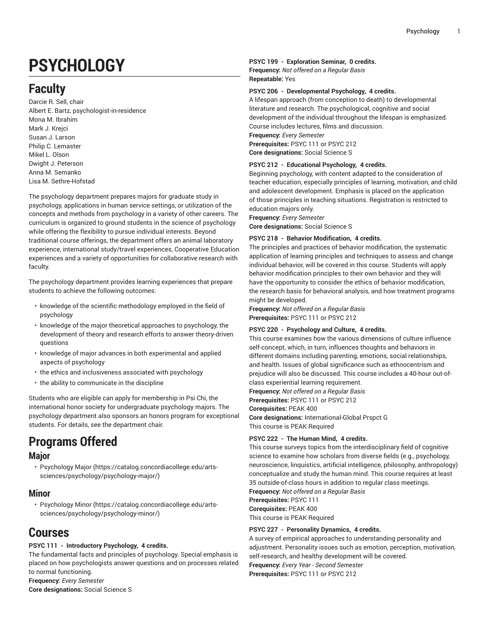# **PSYCHOLOGY**

# **Faculty**

Darcie R. Sell, chair Albert E. Bartz, psychologist-in-residence Mona M. Ibrahim Mark J. Krejci Susan J. Larson Philip C. Lemaster Mikel L. Olson Dwight J. Peterson Anna M. Semanko Lisa M. Sethre-Hofstad

The psychology department prepares majors for graduate study in psychology, applications in human service settings, or utilization of the concepts and methods from psychology in a variety of other careers. The curriculum is organized to ground students in the science of psychology while offering the flexibility to pursue individual interests. Beyond traditional course offerings, the department offers an animal laboratory experience, international study/travel experiences, Cooperative Education experiences and a variety of opportunities for collaborative research with faculty.

The psychology department provides learning experiences that prepare students to achieve the following outcomes:

- knowledge of the scientific methodology employed in the field of psychology
- knowledge of the major theoretical approaches to psychology, the development of theory and research efforts to answer theory-driven questions
- knowledge of major advances in both experimental and applied aspects of psychology
- the ethics and inclusiveness associated with psychology
- the ability to communicate in the discipline

Students who are eligible can apply for membership in Psi Chi, the international honor society for undergraduate psychology majors. The psychology department also sponsors an honors program for exceptional students. For details, see the department chair.

# **Programs Offered**

### **Major**

• [Psychology](https://catalog.concordiacollege.edu/arts-sciences/psychology/psychology-major/) Major [\(https://catalog.concordiacollege.edu/arts](https://catalog.concordiacollege.edu/arts-sciences/psychology/psychology-major/)[sciences/psychology/psychology-major/\)](https://catalog.concordiacollege.edu/arts-sciences/psychology/psychology-major/)

### **Minor**

• [Psychology](https://catalog.concordiacollege.edu/arts-sciences/psychology/psychology-minor/) Minor [\(https://catalog.concordiacollege.edu/arts](https://catalog.concordiacollege.edu/arts-sciences/psychology/psychology-minor/)[sciences/psychology/psychology-minor/](https://catalog.concordiacollege.edu/arts-sciences/psychology/psychology-minor/))

# **Courses**

#### **PSYC 111 - Introductory Psychology, 4 credits.**

The fundamental facts and principles of psychology. Special emphasis is placed on how psychologists answer questions and on processes related to normal functioning. **Frequency:** *Every Semester*

**Core designations:** Social Science S

#### **PSYC 199 - Exploration Seminar, 0 credits.**

**Frequency:** *Not offered on a Regular Basis* **Repeatable:** Yes

#### **PSYC 206 - Developmental Psychology, 4 credits.**

A lifespan approach (from conception to death) to developmental literature and research. The psychological, cognitive and social development of the individual throughout the lifespan is emphasized. Course includes lectures, films and discussion. **Frequency:** *Every Semester* **Prerequisites:** PSYC 111 or PSYC 212 **Core designations:** Social Science S

#### **PSYC 212 - Educational Psychology, 4 credits.**

Beginning psychology, with content adapted to the consideration of teacher education, especially principles of learning, motivation, and child and adolescent development. Emphasis is placed on the application of those principles in teaching situations. Registration is restricted to education majors only.

**Frequency:** *Every Semester*

**Core designations:** Social Science S

#### **PSYC 218 - Behavior Modification, 4 credits.**

The principles and practices of behavior modification, the systematic application of learning principles and techniques to assess and change individual behavior, will be covered in this course. Students will apply behavior modification principles to their own behavior and they will have the opportunity to consider the ethics of behavior modification, the research basis for behavioral analysis, and how treatment programs might be developed.

**Frequency:** *Not offered on a Regular Basis* **Prerequisites:** PSYC 111 or PSYC 212

#### **PSYC 220 - Psychology and Culture, 4 credits.**

This course examines how the various dimensions of culture influence self-concept, which, in turn, influences thoughts and behaviors in different domains including parenting, emotions, social relationships, and health. Issues of global significance such as ethnocentrism and prejudice will also be discussed. This course includes a 40-hour out-ofclass experiential learning requirement.

**Frequency:** *Not offered on a Regular Basis*

**Prerequisites:** PSYC 111 or PSYC 212

**Corequisites:** PEAK 400

**Core designations:** International-Global Prspct G This course is PEAK Required

#### **PSYC 222 - The Human Mind, 4 credits.**

This course surveys topics from the interdisciplinary field of cognitive science to examine how scholars from diverse fields (e.g., psychology, neuroscience, linquistics, artificial intelligence, philosophy, anthropology) conceptualize and study the human mind. This course requires at least 35 outside-of-class hours in addition to regular class meetings. **Frequency:** *Not offered on a Regular Basis* **Prerequisites:** PSYC 111 **Corequisites:** PEAK 400

This course is PEAK Required

#### **PSYC 227 - Personality Dynamics, 4 credits.**

A survey of empirical approaches to understanding personality and adjustment. Personality issues such as emotion, perception, motivation, self-research, and healthy development will be covered. **Frequency:** *Every Year - Second Semester* **Prerequisites:** PSYC 111 or PSYC 212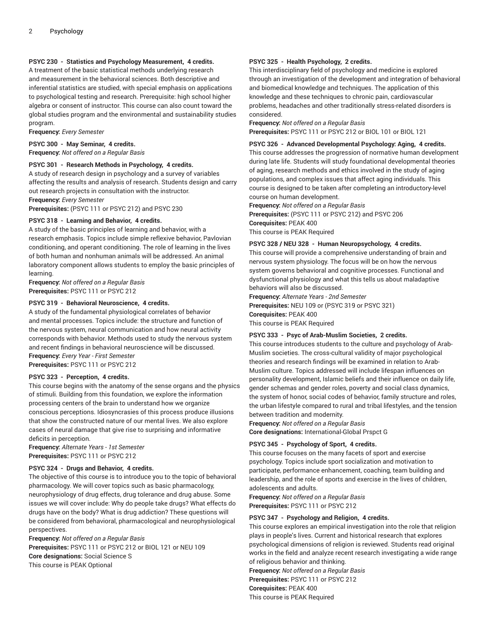#### **PSYC 230 - Statistics and Psychology Measurement, 4 credits.**

A treatment of the basic statistical methods underlying research and measurement in the behavioral sciences. Both descriptive and inferential statistics are studied, with special emphasis on applications to psychological testing and research. Prerequisite: high school higher algebra or consent of instructor. This course can also count toward the global studies program and the environmental and sustainability studies program.

**Frequency:** *Every Semester*

**PSYC 300 - May Seminar, 4 credits.**

**Frequency:** *Not offered on a Regular Basis*

#### **PSYC 301 - Research Methods in Psychology, 4 credits.**

A study of research design in psychology and a survey of variables affecting the results and analysis of research. Students design and carry out research projects in consultation with the instructor.

**Frequency:** *Every Semester*

**Prerequisites:** (PSYC 111 or PSYC 212) and PSYC 230

#### **PSYC 318 - Learning and Behavior, 4 credits.**

A study of the basic principles of learning and behavior, with a research emphasis. Topics include simple reflexive behavior, Pavlovian conditioning, and operant conditioning. The role of learning in the lives of both human and nonhuman animals will be addressed. An animal laboratory component allows students to employ the basic principles of learning.

**Frequency:** *Not offered on a Regular Basis* **Prerequisites:** PSYC 111 or PSYC 212

#### **PSYC 319 - Behavioral Neuroscience, 4 credits.**

A study of the fundamental physiological correlates of behavior and mental processes. Topics include: the structure and function of the nervous system, neural communication and how neural activity corresponds with behavior. Methods used to study the nervous system and recent findings in behavioral neuroscience will be discussed. **Frequency:** *Every Year - First Semester*

**Prerequisites:** PSYC 111 or PSYC 212

#### **PSYC 323 - Perception, 4 credits.**

This course begins with the anatomy of the sense organs and the physics of stimuli. Building from this foundation, we explore the information processing centers of the brain to understand how we organize conscious perceptions. Idiosyncrasies of this process produce illusions that show the constructed nature of our mental lives. We also explore cases of neural damage that give rise to surprising and informative deficits in perception.

**Frequency:** *Alternate Years - 1st Semester* **Prerequisites:** PSYC 111 or PSYC 212

#### **PSYC 324 - Drugs and Behavior, 4 credits.**

The objective of this course is to introduce you to the topic of behavioral pharmacology. We will cover topics such as basic pharmacology, neurophysiology of drug effects, drug tolerance and drug abuse. Some issues we will cover include: Why do people take drugs? What effects do drugs have on the body? What is drug addiction? These questions will be considered from behavioral, pharmacological and neurophysiological perspectives.

**Frequency:** *Not offered on a Regular Basis* **Prerequisites:** PSYC 111 or PSYC 212 or BIOL 121 or NEU 109 **Core designations:** Social Science S This course is PEAK Optional

#### **PSYC 325 - Health Psychology, 2 credits.**

This interdisciplinary field of psychology and medicine is explored through an investigation of the development and integration of behavioral and biomedical knowledge and techniques. The application of this knowledge and these techniques to chronic pain, cardiovascular problems, headaches and other traditionally stress-related disorders is considered.

**Frequency:** *Not offered on a Regular Basis*

**Prerequisites:** PSYC 111 or PSYC 212 or BIOL 101 or BIOL 121

**PSYC 326 - Advanced Developmental Psychology: Aging, 4 credits.** This course addresses the progression of normative human development during late life. Students will study foundational developmental theories of aging, research methods and ethics involved in the study of aging populations, and complex issues that affect aging individuals. This course is designed to be taken after completing an introductory-level course on human development.

**Frequency:** *Not offered on a Regular Basis* **Prerequisites:** (PSYC 111 or PSYC 212) and PSYC 206 **Corequisites:** PEAK 400 This course is PEAK Required

#### **PSYC 328 / NEU 328 - Human Neuropsychology, 4 credits.**

This course will provide a comprehensive understanding of brain and nervous system physiology. The focus will be on how the nervous system governs behavioral and cognitive processes. Functional and dysfunctional physiology and what this tells us about maladaptive behaviors will also be discussed.

**Frequency:** *Alternate Years - 2nd Semester*

**Prerequisites:** NEU 109 or (PSYC 319 or PSYC 321)

**Corequisites:** PEAK 400

This course is PEAK Required

#### **PSYC 333 - Psyc of Arab-Muslim Societies, 2 credits.**

This course introduces students to the culture and psychology of Arab-Muslim societies. The cross-cultural validity of major psychological theories and research findings will be examined in relation to Arab-Muslim culture. Topics addressed will include lifespan influences on personality development, Islamic beliefs and their influence on daily life, gender schemas and gender roles, poverty and social class dynamics, the system of honor, social codes of behavior, family structure and roles, the urban lifestyle compared to rural and tribal lifestyles, and the tension between tradition and modernity.

**Frequency:** *Not offered on a Regular Basis* **Core designations:** International-Global Prspct G

#### **PSYC 345 - Psychology of Sport, 4 credits.**

This course focuses on the many facets of sport and exercise psychology. Topics include sport socialization and motivation to participate, performance enhancement, coaching, team building and leadership, and the role of sports and exercise in the lives of children, adolescents and adults.

**Frequency:** *Not offered on a Regular Basis* **Prerequisites:** PSYC 111 or PSYC 212

#### **PSYC 347 - Psychology and Religion, 4 credits.**

This course explores an empirical investigation into the role that religion plays in people's lives. Current and historical research that explores psychological dimensions of religion is reviewed. Students read original works in the field and analyze recent research investigating a wide range of religious behavior and thinking.

**Frequency:** *Not offered on a Regular Basis* **Prerequisites:** PSYC 111 or PSYC 212 **Corequisites:** PEAK 400 This course is PEAK Required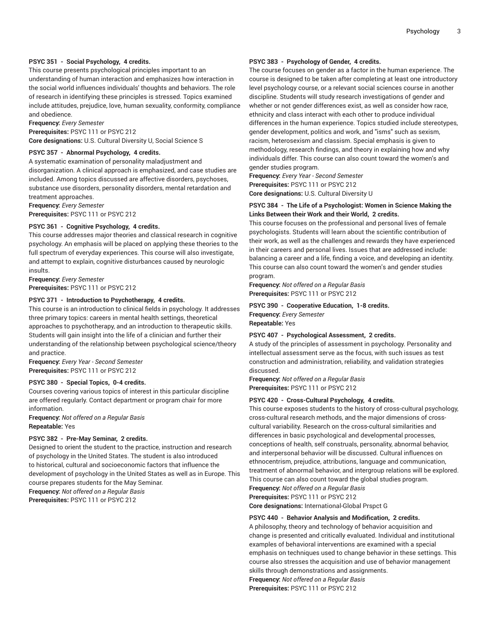#### **PSYC 351 - Social Psychology, 4 credits.**

This course presents psychological principles important to an understanding of human interaction and emphasizes how interaction in the social world influences individuals' thoughts and behaviors. The role of research in identifying these principles is stressed. Topics examined include attitudes, prejudice, love, human sexuality, conformity, compliance and obedience.

**Frequency:** *Every Semester*

**Prerequisites:** PSYC 111 or PSYC 212 **Core designations:** U.S. Cultural Diversity U, Social Science S

#### **PSYC 357 - Abnormal Psychology, 4 credits.**

A systematic examination of personality maladjustment and disorganization. A clinical approach is emphasized, and case studies are included. Among topics discussed are affective disorders, psychoses, substance use disorders, personality disorders, mental retardation and treatment approaches.

**Frequency:** *Every Semester* **Prerequisites:** PSYC 111 or PSYC 212

### **PSYC 361 - Cognitive Psychology, 4 credits.**

This course addresses major theories and classical research in cognitive psychology. An emphasis will be placed on applying these theories to the full spectrum of everyday experiences. This course will also investigate, and attempt to explain, cognitive disturbances caused by neurologic insults.

**Frequency:** *Every Semester*

**Prerequisites:** PSYC 111 or PSYC 212

#### **PSYC 371 - Introduction to Psychotherapy, 4 credits.**

This course is an introduction to clinical fields in psychology. It addresses three primary topics: careers in mental health settings, theoretical approaches to psychotherapy, and an introduction to therapeutic skills. Students will gain insight into the life of a clinician and further their understanding of the relationship between psychological science/theory and practice.

**Frequency:** *Every Year - Second Semester* **Prerequisites:** PSYC 111 or PSYC 212

#### **PSYC 380 - Special Topics, 0-4 credits.**

Courses covering various topics of interest in this particular discipline are offered regularly. Contact department or program chair for more information.

**Frequency:** *Not offered on a Regular Basis* **Repeatable:** Yes

#### **PSYC 382 - Pre-May Seminar, 2 credits.**

Designed to orient the student to the practice, instruction and research of psychology in the United States. The student is also introduced to historical, cultural and socioeconomic factors that influence the development of psychology in the United States as well as in Europe. This course prepares students for the May Seminar.

**Frequency:** *Not offered on a Regular Basis* **Prerequisites:** PSYC 111 or PSYC 212

#### **PSYC 383 - Psychology of Gender, 4 credits.**

The course focuses on gender as a factor in the human experience. The course is designed to be taken after completing at least one introductory level psychology course, or a relevant social sciences course in another discipline. Students will study research investigations of gender and whether or not gender differences exist, as well as consider how race, ethnicity and class interact with each other to produce individual differences in the human experience. Topics studied include stereotypes, gender development, politics and work, and "isms" such as sexism, racism, heterosexism and classism. Special emphasis is given to methodology, research findings, and theory in explaining how and why individuals differ. This course can also count toward the women's and gender studies program.

**Frequency:** *Every Year - Second Semester* **Prerequisites:** PSYC 111 or PSYC 212 **Core designations:** U.S. Cultural Diversity U

#### **PSYC 384 - The Life of a Psychologist: Women in Science Making the Links Between their Work and their World, 2 credits.**

This course focuses on the professional and personal lives of female psychologists. Students will learn about the scientific contribution of their work, as well as the challenges and rewards they have experienced in their careers and personal lives. Issues that are addressed include: balancing a career and a life, finding a voice, and developing an identity. This course can also count toward the women's and gender studies program.

**Frequency:** *Not offered on a Regular Basis* **Prerequisites:** PSYC 111 or PSYC 212

#### **PSYC 390 - Cooperative Education, 1-8 credits. Frequency:** *Every Semester*

**Repeatable:** Yes

#### **PSYC 407 - Psychological Assessment, 2 credits.**

A study of the principles of assessment in psychology. Personality and intellectual assessment serve as the focus, with such issues as test construction and administration, reliability, and validation strategies discussed.

**Frequency:** *Not offered on a Regular Basis* **Prerequisites:** PSYC 111 or PSYC 212

#### **PSYC 420 - Cross-Cultural Psychology, 4 credits.**

This course exposes students to the history of cross-cultural psychology, cross-cultural research methods, and the major dimensions of crosscultural variability. Research on the cross-cultural similarities and differences in basic psychological and developmental processes, conceptions of health, self construals, personality, abnormal behavior, and interpersonal behavior will be discussed. Cultural influences on ethnocentrism, prejudice, attributions, language and communication, treatment of abnormal behavior, and intergroup relations will be explored. This course can also count toward the global studies program. **Frequency:** *Not offered on a Regular Basis*

**Prerequisites:** PSYC 111 or PSYC 212

**Core designations:** International-Global Prspct G

#### **PSYC 440 - Behavior Analysis and Modification, 2 credits.**

A philosophy, theory and technology of behavior acquisition and change is presented and critically evaluated. Individual and institutional examples of behavioral interventions are examined with a special emphasis on techniques used to change behavior in these settings. This course also stresses the acquisition and use of behavior management skills through demonstrations and assignments.

**Frequency:** *Not offered on a Regular Basis*

**Prerequisites:** PSYC 111 or PSYC 212